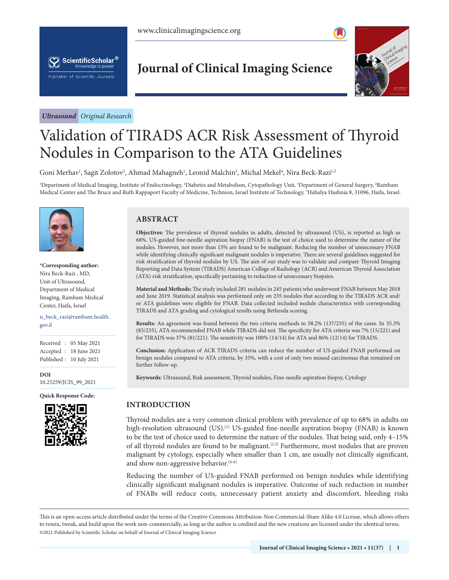



*Ultrasound Original Research*

# **Journal of Clinical Imaging Science**



# Validation of TIRADS ACR Risk Assessment of Thyroid Nodules in Comparison to the ATA Guidelines

Goni Merhav<sup>ı</sup>, Sagit Zolotov<sup>2</sup>, Ahmad Mahagneh<sup>ı</sup>, Leonid Malchin<sup>3</sup>, Michal Mekel<sup>4</sup>, Nira Beck-Razi<sup>1,5</sup>

<sup>1</sup>Department of Medical Imaging, Institute of Endocrinology, <sup>2</sup>Diabetes and Metabolism, Cytopathology Unit, <sup>3</sup>Department of General Surgery, <sup>4</sup>Rambam Medical Center and The Bruce and Ruth Rappaport Faculty of Medicine, Technion, Israel Institute of Technology, <sup>5</sup>Hahalya Hashnia 8, 31096, Haifa, Israel.



**\*Corresponding author:** Nira Beck-Razi , MD, Unit of Ultrasound, Department of Medical Imaging, Rambam Medical Center, Haifa, Israel

n\_beck\_razi@rambam.health. gov.il

Received : 05 May 2021 Accepted : 18 June 2021 Published : 10 July 2021

**DOI** [10.25259/JCIS\\_99\\_2021](https://orcid.org/10.25259/JCIS_99_2021)

**Quick Response Code:**



## **ABSTRACT**

**Objectives:** The prevalence of thyroid nodules in adults, detected by ultrasound (US), is reported as high as 68%. US-guided fine-needle aspiration biopsy (FNAB) is the test of choice used to determine the nature of the nodules. However, not more than 15% are found to be malignant. Reducing the number of unnecessary FNAB while identifying clinically significant malignant nodules is imperative. There are several guidelines suggested for risk stratification of thyroid nodules by US. The aim of our study was to validate and compare Thyroid Imaging Reporting and Data System (TIRADS) American College of Radiology (ACR) and American Thyroid Association (ATA) risk stratification, specifically pertaining to reduction of unnecessary biopsies.

**Material and Methods:** The study included 281 nodules in 245 patients who underwent FNAB between May 2018 and June 2019. Statistical analysis was performed only on 235 nodules that according to the TIRADS ACR and/ or ATA guidelines were eligible for FNAB. Data collected included nodule characteristics with corresponding TIRADS and ATA grading and cytological results using Bethesda scoring.

**Results:** An agreement was found between the two criteria methods in 58.2% (137/235) of the cases. In 35.3% (83/235), ATA recommended FNAB while TIRADS did not. The specificity for ATA criteria was 7% (15/221) and for TIRADS was 37% (81/221). The sensitivity was 100% (14/14) for ATA and 86% (12/14) for TIRADS.

**Conclusion:** Application of ACR TIRADS criteria can reduce the number of US-guided FNAB performed on benign nodules compared to ATA criteria, by 35%, with a cost of only two missed carcinomas that remained on further follow-up.

**Keywords:** Ultrasound, Risk assessment, Thyroid nodules, Fine-needle aspiration biopsy, Cytology

# **INTRODUCTION**

Thyroid nodules are a very common clinical problem with prevalence of up to 68% in adults on high-resolution ultrasound (US).<sup>[1]</sup> US-guided fine-needle aspiration biopsy (FNAB) is known to be the test of choice used to determine the nature of the nodules. That being said, only 4–15% of all thyroid nodules are found to be malignant.[2,3] Furthermore, most nodules that are proven malignant by cytology, especially when smaller than 1 cm, are usually not clinically significant, and show non-aggressive behavior.<sup>[4-6]</sup>

Reducing the number of US-guided FNAB performed on benign nodules while identifying clinically significant malignant nodules is imperative. Outcome of such reduction in number of FNABs will reduce costs, unnecessary patient anxiety and discomfort, bleeding risks

is is an open-access article distributed under the terms of the Creative Commons Attribution-Non Commercial-Share Alike 4.0 License, which allows others to remix, tweak, and build upon the work non-commercially, as long as the author is credited and the new creations are licensed under the identical terms. ©2021 Published by Scientific Scholar on behalf of Journal of Clinical Imaging Science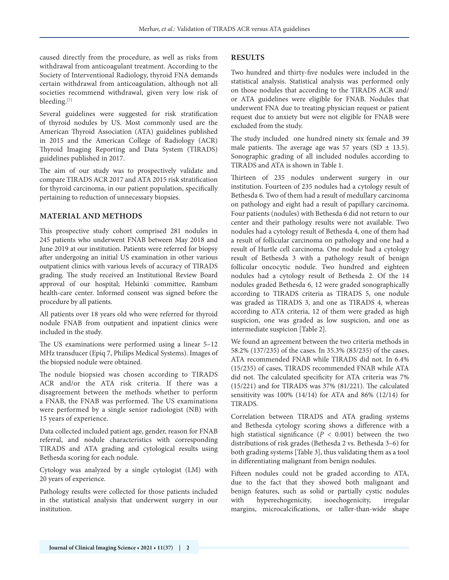caused directly from the procedure, as well as risks from withdrawal from anticoagulant treatment. According to the Society of Interventional Radiology, thyroid FNA demands certain withdrawal from anticoagulation, although not all societies recommend withdrawal, given very low risk of bleeding.[7]

Several guidelines were suggested for risk stratification of thyroid nodules by US. Most commonly used are the American Thyroid Association (ATA) guidelines published in 2015 and the American College of Radiology (ACR) Thyroid Imaging Reporting and Data System (TIRADS) guidelines published in 2017.

The aim of our study was to prospectively validate and compare TIRADS ACR 2017 and ATA 2015 risk stratification for thyroid carcinoma, in our patient population, specifically pertaining to reduction of unnecessary biopsies.

#### **MATERIAL AND METHODS**

This prospective study cohort comprised 281 nodules in 245 patients who underwent FNAB between May 2018 and June 2019 at our institution. Patients were referred for biopsy after undergoing an initial US examination in other various outpatient clinics with various levels of accuracy of TIRADS grading. The study received an Institutional Review Board approval of our hospital; Helsinki committee, Rambam health-care center. Informed consent was signed before the procedure by all patients.

All patients over 18 years old who were referred for thyroid nodule FNAB from outpatient and inpatient clinics were included in the study.

The US examinations were performed using a linear 5–12 MHz transducer (Epiq 7, Philips Medical Systems). Images of the biopsied nodule were obtained.

The nodule biopsied was chosen according to TIRADS ACR and/or the ATA risk criteria. If there was a disagreement between the methods whether to perform a FNAB, the FNAB was performed. The US examinations were performed by a single senior radiologist (NB) with 15 years of experience.

Data collected included patient age, gender, reason for FNAB referral, and nodule characteristics with corresponding TIRADS and ATA grading and cytological results using Bethesda scoring for each nodule.

Cytology was analyzed by a single cytologist (LM) with 20 years of experience.

Pathology results were collected for those patients included in the statistical analysis that underwent surgery in our institution.

#### **RESULTS**

Two hundred and thirty-five nodules were included in the statistical analysis. Statistical analysis was performed only on those nodules that according to the TIRADS ACR and/ or ATA guidelines were eligible for FNAB. Nodules that underwent FNA due to treating physician request or patient request due to anxiety but were not eligible for FNAB were excluded from the study.

The study included one hundred ninety six female and 39 male patients. The average age was 57 years (SD  $\pm$  13.5). Sonographic grading of all included nodules according to TIRADS and ATA is shown in Table 1.

Thirteen of 235 nodules underwent surgery in our institution. Fourteen of 235 nodules had a cytology result of Bethesda 6. Two of them had a result of medullary carcinoma on pathology and eight had a result of papillary carcinoma. Four patients (nodules) with Bethesda 6 did not return to our center and their pathology results were not available. Two nodules had a cytology result of Bethesda 4, one of them had a result of follicular carcinoma on pathology and one had a result of Hurtle cell carcinoma. One nodule had a cytology result of Bethesda 3 with a pathology result of benign follicular oncocytic nodule. Two hundred and eighteen nodules had a cytology result of Bethesda 2. Of the 14 nodules graded Bethesda 6, 12 were graded sonographically according to TIRADS criteria as TIRADS 5, one nodule was graded as TIRADS 3, and one as TIRADS 4, whereas according to ATA criteria, 12 of them were graded as high suspicion, one was graded as low suspicion, and one as intermediate suspicion [Table 2].

We found an agreement between the two criteria methods in 58.2% (137/235) of the cases. In 35.3% (83/235) of the cases, ATA recommended FNAB while TIRADS did not. In 6.4% (15/235) of cases, TIRADS recommended FNAB while ATA did not. The calculated specificity for ATA criteria was 7% (15/221) and for TIRADS was 37% (81/221). The calculated sensitivity was 100% (14/14) for ATA and 86% (12/14) for TIRADS.

Correlation between TIRADS and ATA grading systems and Bethesda cytology scoring shows a difference with a high statistical significance ( $P < 0.001$ ) between the two distributions of risk grades (Bethesda 2 vs. Bethesda 3–6) for both grading systems [Table 3], thus validating them as a tool in differentiating malignant from benign nodules.

Fifteen nodules could not be graded according to ATA, due to the fact that they showed both malignant and benign features, such as solid or partially cystic nodules with hyperechogenicity, isoechogenicity, irregular margins, microcalcifications, or taller-than-wide shape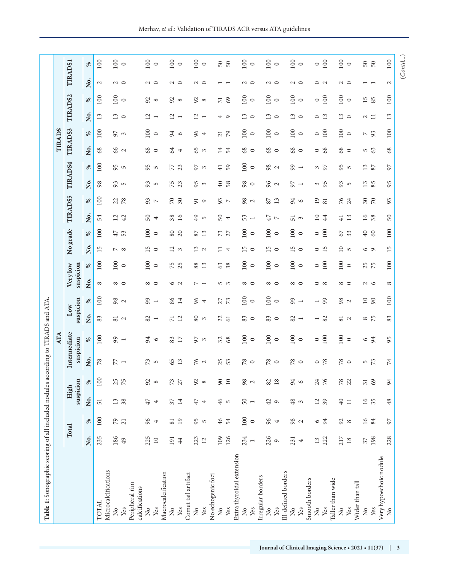| Σó.<br>83<br>$\frac{2}{1}$<br>12<br>80<br>22<br>83<br>83<br>82<br>82<br>81<br>$\overline{7}1$<br>$\mathfrak{g}$<br>$\circ$<br>$\circ$<br>$\sim$<br>$\overline{\phantom{a}}$<br>$\overline{\phantom{0}}$<br>Intermediate<br>100<br>100<br>100<br>100<br>100<br>99<br>$rac{3}{17}$<br>32<br>94<br>$\frac{2}{3}$<br>68<br>suspicion<br>$\%$<br>$\circ$<br>$\circ$<br>$\circ$<br>$\circ$<br>$\circ$<br>$\overline{\phantom{a}}$<br>Ż.<br>78<br>25<br>77<br>73<br>65<br>13<br>76<br>53<br>$78\,$<br>$78$<br>78<br>78<br>$\overline{5}$<br>$\mathbf{\Omega}$<br>$\circ$<br>$\circ$<br>$\circ$<br>$\circ$<br>$\overline{\phantom{a}}$<br>100<br>25<br>75<br>90<br>$\overline{10}$<br>76<br>suspicion<br>98<br>24<br>92<br>$73\,$<br>27<br>92<br>82<br>$18$<br>94<br>%<br>${}^{\circ}$<br>$\infty$<br>$\sim$<br>$\circ$<br>High<br>Ż.<br>50<br>46<br>13<br>38<br>$\overline{37}$<br>14<br>48<br>12<br>39<br>47<br>47<br>$42\,$<br>51<br>$\overline{5}$<br>$\mathcal{O}$<br>$\tilde{\phantom{0}}$<br>4<br>$\overline{\phantom{a}}$<br>4<br>100<br>100<br>79<br>96<br>19<br>95<br>46<br>96<br>98<br>54<br>94<br>$\overline{21}$<br>81<br>$\%$<br>$\circ$<br>$\overline{5}$<br>4<br>$\circ$<br>4<br>$\mathbf{\sim}$<br>Total<br>235<br>186<br>225<br>126<br>234<br>226<br>Ż.<br>223<br>109<br>222<br>191<br>231<br>49<br>$\Box$<br>44<br>12<br>13<br>$\circ$<br>4<br>$\overline{ }$<br>Extra thyroidal extension<br>Microcalcifications<br>Macrocalcification<br>Ill-defined borders<br>Comet tail artifact<br>No echogenic foci<br>Irregular borders<br>Smooth borders<br>Peripheral rim<br>calcifications<br>TOTAL<br>$\frac{1}{2}$<br>Yes<br>Yes<br>Yes<br>Yes<br>Yes<br>ž<br>Yes<br>$\frac{1}{2}$<br>Yes<br>$\frac{1}{2}$<br>Yes<br>$\frac{1}{2}$<br>Yes<br>$\tilde{z}$<br>$\tilde{z}$<br>$\frac{1}{2}$<br>$\frac{1}{2}$ | 100<br>suspicion<br>99<br>96<br>98<br>86<br>14<br>27<br>73<br>$\%$<br>$\mathbf{\sim}$<br>$\overline{\phantom{a}}$<br>4<br>Low | 100<br>100<br>100<br>suspicion<br>75<br>25<br>88<br>Very low<br>13<br>63<br>38<br>$\%$<br>$\circ$<br>$\circ$<br>Ź.<br>${}^{\circ}$<br>$\infty$ $\circ$<br>$\infty$ $\infty$<br>6 U<br>5<br>5<br>5<br>$\overline{\phantom{0}}$ | Ż.<br>15<br>15<br>13<br>$\overline{2}$<br>$\equiv$<br>$\circ$<br>$\sim$ $\infty$<br>$\mathfrak{g}$<br>$\sim$<br>$\overline{\phantom{a}}$ | No grade<br>100<br>100<br>53<br>$\rm 80$<br>20<br>13<br>73<br>27<br>47<br>87<br>%<br>$\circ$ | <b>TIRADS5</b><br>Ż.<br>54<br>$12\,$<br>42<br>50<br>38<br>16<br>49<br>$\overline{\mathcal{A}}$<br>$\overline{5}$ | 100<br>$\infty$<br>$22^{78}$<br>$\frac{2}{7}$<br>$\sqrt{2}$<br>%<br>51 | TIRADS4<br>Ź.<br>98<br>93<br>93<br>$\sim$ | Ż.<br>$68\,$<br>66<br>$\sim$<br>100<br>95<br>$\%$<br>$\overline{5}$ | TIRADS3<br>100<br>97<br>$\frac{8}{3}$<br>$\mathfrak{g}$ | Ż.<br>13                 | TIRADS2         |                          | <b>TIRADS1</b> |
|-------------------------------------------------------------------------------------------------------------------------------------------------------------------------------------------------------------------------------------------------------------------------------------------------------------------------------------------------------------------------------------------------------------------------------------------------------------------------------------------------------------------------------------------------------------------------------------------------------------------------------------------------------------------------------------------------------------------------------------------------------------------------------------------------------------------------------------------------------------------------------------------------------------------------------------------------------------------------------------------------------------------------------------------------------------------------------------------------------------------------------------------------------------------------------------------------------------------------------------------------------------------------------------------------------------------------------------------------------------------------------------------------------------------------------------------------------------------------------------------------------------------------------------------------------------------------------------------------------------------------------------------------------------------------------------------------------------------------------------------------------------------------------------------------------------------|-------------------------------------------------------------------------------------------------------------------------------|-------------------------------------------------------------------------------------------------------------------------------------------------------------------------------------------------------------------------------|------------------------------------------------------------------------------------------------------------------------------------------|----------------------------------------------------------------------------------------------|------------------------------------------------------------------------------------------------------------------|------------------------------------------------------------------------|-------------------------------------------|---------------------------------------------------------------------|---------------------------------------------------------|--------------------------|-----------------|--------------------------|----------------|
|                                                                                                                                                                                                                                                                                                                                                                                                                                                                                                                                                                                                                                                                                                                                                                                                                                                                                                                                                                                                                                                                                                                                                                                                                                                                                                                                                                                                                                                                                                                                                                                                                                                                                                                                                                                                                   |                                                                                                                               |                                                                                                                                                                                                                               |                                                                                                                                          |                                                                                              |                                                                                                                  |                                                                        |                                           |                                                                     |                                                         |                          |                 |                          |                |
|                                                                                                                                                                                                                                                                                                                                                                                                                                                                                                                                                                                                                                                                                                                                                                                                                                                                                                                                                                                                                                                                                                                                                                                                                                                                                                                                                                                                                                                                                                                                                                                                                                                                                                                                                                                                                   |                                                                                                                               |                                                                                                                                                                                                                               |                                                                                                                                          |                                                                                              |                                                                                                                  |                                                                        |                                           |                                                                     |                                                         |                          | $\%$            | Ż.                       | $\aleph$       |
|                                                                                                                                                                                                                                                                                                                                                                                                                                                                                                                                                                                                                                                                                                                                                                                                                                                                                                                                                                                                                                                                                                                                                                                                                                                                                                                                                                                                                                                                                                                                                                                                                                                                                                                                                                                                                   |                                                                                                                               |                                                                                                                                                                                                                               |                                                                                                                                          |                                                                                              |                                                                                                                  |                                                                        |                                           |                                                                     |                                                         |                          | 100             | $\mathcal{L}$            | 100            |
|                                                                                                                                                                                                                                                                                                                                                                                                                                                                                                                                                                                                                                                                                                                                                                                                                                                                                                                                                                                                                                                                                                                                                                                                                                                                                                                                                                                                                                                                                                                                                                                                                                                                                                                                                                                                                   |                                                                                                                               |                                                                                                                                                                                                                               |                                                                                                                                          |                                                                                              |                                                                                                                  |                                                                        |                                           |                                                                     |                                                         |                          |                 |                          |                |
|                                                                                                                                                                                                                                                                                                                                                                                                                                                                                                                                                                                                                                                                                                                                                                                                                                                                                                                                                                                                                                                                                                                                                                                                                                                                                                                                                                                                                                                                                                                                                                                                                                                                                                                                                                                                                   |                                                                                                                               |                                                                                                                                                                                                                               |                                                                                                                                          |                                                                                              |                                                                                                                  |                                                                        |                                           |                                                                     |                                                         | $13$                     | 100             | $\sim$ $\sim$            | 100            |
|                                                                                                                                                                                                                                                                                                                                                                                                                                                                                                                                                                                                                                                                                                                                                                                                                                                                                                                                                                                                                                                                                                                                                                                                                                                                                                                                                                                                                                                                                                                                                                                                                                                                                                                                                                                                                   |                                                                                                                               |                                                                                                                                                                                                                               |                                                                                                                                          |                                                                                              |                                                                                                                  |                                                                        |                                           |                                                                     |                                                         | $\circ$                  | $\circ$         |                          | $\circ$        |
|                                                                                                                                                                                                                                                                                                                                                                                                                                                                                                                                                                                                                                                                                                                                                                                                                                                                                                                                                                                                                                                                                                                                                                                                                                                                                                                                                                                                                                                                                                                                                                                                                                                                                                                                                                                                                   |                                                                                                                               |                                                                                                                                                                                                                               |                                                                                                                                          |                                                                                              |                                                                                                                  |                                                                        |                                           |                                                                     |                                                         |                          |                 |                          |                |
|                                                                                                                                                                                                                                                                                                                                                                                                                                                                                                                                                                                                                                                                                                                                                                                                                                                                                                                                                                                                                                                                                                                                                                                                                                                                                                                                                                                                                                                                                                                                                                                                                                                                                                                                                                                                                   |                                                                                                                               |                                                                                                                                                                                                                               |                                                                                                                                          |                                                                                              |                                                                                                                  |                                                                        |                                           |                                                                     |                                                         |                          |                 |                          |                |
|                                                                                                                                                                                                                                                                                                                                                                                                                                                                                                                                                                                                                                                                                                                                                                                                                                                                                                                                                                                                                                                                                                                                                                                                                                                                                                                                                                                                                                                                                                                                                                                                                                                                                                                                                                                                                   |                                                                                                                               |                                                                                                                                                                                                                               |                                                                                                                                          |                                                                                              |                                                                                                                  |                                                                        |                                           | 68<br>95                                                            | 100                                                     | 12                       | 56              | $\sim$ $\sim$            | 100            |
|                                                                                                                                                                                                                                                                                                                                                                                                                                                                                                                                                                                                                                                                                                                                                                                                                                                                                                                                                                                                                                                                                                                                                                                                                                                                                                                                                                                                                                                                                                                                                                                                                                                                                                                                                                                                                   |                                                                                                                               |                                                                                                                                                                                                                               |                                                                                                                                          |                                                                                              |                                                                                                                  |                                                                        | $\overline{5}$                            | $\circ$<br>$\overline{5}$                                           | $\circ$                                                 | $\overline{\phantom{a}}$ | $\infty$        |                          | $\circ$        |
|                                                                                                                                                                                                                                                                                                                                                                                                                                                                                                                                                                                                                                                                                                                                                                                                                                                                                                                                                                                                                                                                                                                                                                                                                                                                                                                                                                                                                                                                                                                                                                                                                                                                                                                                                                                                                   |                                                                                                                               |                                                                                                                                                                                                                               |                                                                                                                                          |                                                                                              |                                                                                                                  |                                                                        |                                           |                                                                     |                                                         |                          |                 |                          |                |
|                                                                                                                                                                                                                                                                                                                                                                                                                                                                                                                                                                                                                                                                                                                                                                                                                                                                                                                                                                                                                                                                                                                                                                                                                                                                                                                                                                                                                                                                                                                                                                                                                                                                                                                                                                                                                   |                                                                                                                               |                                                                                                                                                                                                                               |                                                                                                                                          |                                                                                              |                                                                                                                  |                                                                        | 75                                        | \$4<br>77                                                           | 94                                                      | 12                       | $\mathcal{S}$   | $\sim$ $\sim$            | 100            |
|                                                                                                                                                                                                                                                                                                                                                                                                                                                                                                                                                                                                                                                                                                                                                                                                                                                                                                                                                                                                                                                                                                                                                                                                                                                                                                                                                                                                                                                                                                                                                                                                                                                                                                                                                                                                                   |                                                                                                                               |                                                                                                                                                                                                                               |                                                                                                                                          |                                                                                              |                                                                                                                  |                                                                        |                                           | $\overline{\mathcal{A}}$<br>23                                      | $\circ$                                                 | $\overline{\phantom{a}}$ | $\infty$        |                          | $\circ$        |
|                                                                                                                                                                                                                                                                                                                                                                                                                                                                                                                                                                                                                                                                                                                                                                                                                                                                                                                                                                                                                                                                                                                                                                                                                                                                                                                                                                                                                                                                                                                                                                                                                                                                                                                                                                                                                   |                                                                                                                               |                                                                                                                                                                                                                               |                                                                                                                                          |                                                                                              |                                                                                                                  |                                                                        |                                           |                                                                     |                                                         |                          |                 |                          |                |
|                                                                                                                                                                                                                                                                                                                                                                                                                                                                                                                                                                                                                                                                                                                                                                                                                                                                                                                                                                                                                                                                                                                                                                                                                                                                                                                                                                                                                                                                                                                                                                                                                                                                                                                                                                                                                   |                                                                                                                               |                                                                                                                                                                                                                               |                                                                                                                                          |                                                                                              |                                                                                                                  |                                                                        | 95                                        | 65<br>56                                                            | 96                                                      | 12                       | 92              |                          | 100            |
|                                                                                                                                                                                                                                                                                                                                                                                                                                                                                                                                                                                                                                                                                                                                                                                                                                                                                                                                                                                                                                                                                                                                                                                                                                                                                                                                                                                                                                                                                                                                                                                                                                                                                                                                                                                                                   |                                                                                                                               |                                                                                                                                                                                                                               |                                                                                                                                          |                                                                                              |                                                                                                                  | $\circ$                                                                | $\mathfrak{g}$                            | $\mathfrak{g}$<br>$\mathfrak{g}$                                    | 4                                                       | $\overline{\phantom{a}}$ | $\infty$        | $\sim$ $\sim$            | $\circ$        |
|                                                                                                                                                                                                                                                                                                                                                                                                                                                                                                                                                                                                                                                                                                                                                                                                                                                                                                                                                                                                                                                                                                                                                                                                                                                                                                                                                                                                                                                                                                                                                                                                                                                                                                                                                                                                                   |                                                                                                                               |                                                                                                                                                                                                                               |                                                                                                                                          |                                                                                              |                                                                                                                  |                                                                        |                                           |                                                                     |                                                         |                          |                 |                          |                |
|                                                                                                                                                                                                                                                                                                                                                                                                                                                                                                                                                                                                                                                                                                                                                                                                                                                                                                                                                                                                                                                                                                                                                                                                                                                                                                                                                                                                                                                                                                                                                                                                                                                                                                                                                                                                                   |                                                                                                                               |                                                                                                                                                                                                                               |                                                                                                                                          |                                                                                              |                                                                                                                  |                                                                        | 40                                        | $\overline{14}$<br>$\frac{1}{4}$                                    | $\overline{21}$                                         | 4                        | $\overline{31}$ |                          |                |
|                                                                                                                                                                                                                                                                                                                                                                                                                                                                                                                                                                                                                                                                                                                                                                                                                                                                                                                                                                                                                                                                                                                                                                                                                                                                                                                                                                                                                                                                                                                                                                                                                                                                                                                                                                                                                   |                                                                                                                               |                                                                                                                                                                                                                               |                                                                                                                                          |                                                                                              | $50 +$                                                                                                           | $7\degree$                                                             | 58                                        | 54<br>59                                                            | 79                                                      | $\circ$                  | 69              | $ -$                     | 50             |
|                                                                                                                                                                                                                                                                                                                                                                                                                                                                                                                                                                                                                                                                                                                                                                                                                                                                                                                                                                                                                                                                                                                                                                                                                                                                                                                                                                                                                                                                                                                                                                                                                                                                                                                                                                                                                   |                                                                                                                               |                                                                                                                                                                                                                               |                                                                                                                                          |                                                                                              |                                                                                                                  |                                                                        |                                           |                                                                     |                                                         |                          |                 |                          |                |
|                                                                                                                                                                                                                                                                                                                                                                                                                                                                                                                                                                                                                                                                                                                                                                                                                                                                                                                                                                                                                                                                                                                                                                                                                                                                                                                                                                                                                                                                                                                                                                                                                                                                                                                                                                                                                   | 100                                                                                                                           | 100                                                                                                                                                                                                                           | 15                                                                                                                                       | 100                                                                                          | 53                                                                                                               | 98                                                                     | 98                                        | 68<br>100                                                           | 100                                                     | 13                       | 100             |                          | 100            |
|                                                                                                                                                                                                                                                                                                                                                                                                                                                                                                                                                                                                                                                                                                                                                                                                                                                                                                                                                                                                                                                                                                                                                                                                                                                                                                                                                                                                                                                                                                                                                                                                                                                                                                                                                                                                                   | $\circ$                                                                                                                       | $\circ$<br>∞ ⇔                                                                                                                                                                                                                | $\circ$                                                                                                                                  | $\circ$                                                                                      | $\overline{\phantom{a}}$                                                                                         | $\mathbf{\sim}$                                                        | $\circ$                                   | $\circ$<br>$\circ$                                                  | $\circ$                                                 | $\circ$                  | $\circ$         | $\sim$ $\sim$            | $\circ$        |
|                                                                                                                                                                                                                                                                                                                                                                                                                                                                                                                                                                                                                                                                                                                                                                                                                                                                                                                                                                                                                                                                                                                                                                                                                                                                                                                                                                                                                                                                                                                                                                                                                                                                                                                                                                                                                   |                                                                                                                               |                                                                                                                                                                                                                               |                                                                                                                                          |                                                                                              |                                                                                                                  |                                                                        |                                           |                                                                     |                                                         |                          |                 |                          |                |
|                                                                                                                                                                                                                                                                                                                                                                                                                                                                                                                                                                                                                                                                                                                                                                                                                                                                                                                                                                                                                                                                                                                                                                                                                                                                                                                                                                                                                                                                                                                                                                                                                                                                                                                                                                                                                   | 100                                                                                                                           | 100<br>$\infty$ $\infty$                                                                                                                                                                                                      | 15                                                                                                                                       | 100                                                                                          | 47                                                                                                               | $87\,$                                                                 | 96                                        | 68<br>98                                                            | 100                                                     | 13                       | 100             | $\sim$ 0                 | 100            |
|                                                                                                                                                                                                                                                                                                                                                                                                                                                                                                                                                                                                                                                                                                                                                                                                                                                                                                                                                                                                                                                                                                                                                                                                                                                                                                                                                                                                                                                                                                                                                                                                                                                                                                                                                                                                                   | $\circ$                                                                                                                       | $\circ$                                                                                                                                                                                                                       | $\circ$                                                                                                                                  | $\circ$                                                                                      | $\overline{ }$                                                                                                   | 13                                                                     | $\mathbf{\Omega}$                         | $\circ$<br>$\mathbf{\sim}$                                          | $\circ$                                                 | $\circ$                  | $\circ$         |                          | $\circ$        |
|                                                                                                                                                                                                                                                                                                                                                                                                                                                                                                                                                                                                                                                                                                                                                                                                                                                                                                                                                                                                                                                                                                                                                                                                                                                                                                                                                                                                                                                                                                                                                                                                                                                                                                                                                                                                                   |                                                                                                                               |                                                                                                                                                                                                                               |                                                                                                                                          |                                                                                              |                                                                                                                  |                                                                        |                                           |                                                                     |                                                         |                          |                 |                          |                |
|                                                                                                                                                                                                                                                                                                                                                                                                                                                                                                                                                                                                                                                                                                                                                                                                                                                                                                                                                                                                                                                                                                                                                                                                                                                                                                                                                                                                                                                                                                                                                                                                                                                                                                                                                                                                                   | 99                                                                                                                            | 100<br>∞ ⇔                                                                                                                                                                                                                    | 15                                                                                                                                       | 100                                                                                          | 51                                                                                                               | 94                                                                     | 56                                        | 68<br>99                                                            | 100                                                     | 13                       | 100             | $\sim$ $\sim$            | 100            |
|                                                                                                                                                                                                                                                                                                                                                                                                                                                                                                                                                                                                                                                                                                                                                                                                                                                                                                                                                                                                                                                                                                                                                                                                                                                                                                                                                                                                                                                                                                                                                                                                                                                                                                                                                                                                                   |                                                                                                                               | $\circ$                                                                                                                                                                                                                       | $\circ$                                                                                                                                  | $\circ$                                                                                      | $\tilde{3}$                                                                                                      | $\circ$                                                                | $\overline{\phantom{a}}$                  | $\circ$<br>$\overline{\phantom{a}}$                                 | $\circ$                                                 | $\circ$                  | $\circ$         |                          | $\circ$        |
|                                                                                                                                                                                                                                                                                                                                                                                                                                                                                                                                                                                                                                                                                                                                                                                                                                                                                                                                                                                                                                                                                                                                                                                                                                                                                                                                                                                                                                                                                                                                                                                                                                                                                                                                                                                                                   |                                                                                                                               |                                                                                                                                                                                                                               |                                                                                                                                          |                                                                                              |                                                                                                                  |                                                                        |                                           |                                                                     |                                                         |                          |                 |                          |                |
|                                                                                                                                                                                                                                                                                                                                                                                                                                                                                                                                                                                                                                                                                                                                                                                                                                                                                                                                                                                                                                                                                                                                                                                                                                                                                                                                                                                                                                                                                                                                                                                                                                                                                                                                                                                                                   | $\overline{\phantom{0}}$                                                                                                      | $\circ$<br>ం ∞                                                                                                                                                                                                                | $\circ$                                                                                                                                  | $\circ$                                                                                      | $\overline{10}$                                                                                                  | $\overline{19}$                                                        | 3                                         | $\circ$<br>$\frac{3}{2}$                                            | $\circ$                                                 | $\circ$                  | $\circ$         | $\circ$ $\sim$           | $\circ$        |
|                                                                                                                                                                                                                                                                                                                                                                                                                                                                                                                                                                                                                                                                                                                                                                                                                                                                                                                                                                                                                                                                                                                                                                                                                                                                                                                                                                                                                                                                                                                                                                                                                                                                                                                                                                                                                   | 99                                                                                                                            | 100                                                                                                                                                                                                                           | 15                                                                                                                                       | 100                                                                                          | 44                                                                                                               | 81                                                                     | 95                                        | 68                                                                  | 100                                                     | 13                       | 100             |                          | 100            |
| Taller than wide                                                                                                                                                                                                                                                                                                                                                                                                                                                                                                                                                                                                                                                                                                                                                                                                                                                                                                                                                                                                                                                                                                                                                                                                                                                                                                                                                                                                                                                                                                                                                                                                                                                                                                                                                                                                  |                                                                                                                               |                                                                                                                                                                                                                               |                                                                                                                                          |                                                                                              |                                                                                                                  |                                                                        |                                           |                                                                     |                                                         |                          |                 |                          |                |
| 81<br>$100\,$<br>78<br>78<br>40<br>92<br>217<br>$\stackrel{\circ}{\mathbf{Z}}$                                                                                                                                                                                                                                                                                                                                                                                                                                                                                                                                                                                                                                                                                                                                                                                                                                                                                                                                                                                                                                                                                                                                                                                                                                                                                                                                                                                                                                                                                                                                                                                                                                                                                                                                    | 98                                                                                                                            | 100<br>$^{\circ}$                                                                                                                                                                                                             | $\overline{10}$                                                                                                                          | 67                                                                                           | $\overline{4}$                                                                                                   | 76                                                                     | 93                                        | 68<br>95                                                            | 100                                                     | 13                       | 100             | $\sim$ 0                 | 100            |
| $\mathbf{\Omega}$<br>$\circ$<br>$\circ$<br>22<br>$\Box$<br>$\infty$<br>$18\,$<br>Yes                                                                                                                                                                                                                                                                                                                                                                                                                                                                                                                                                                                                                                                                                                                                                                                                                                                                                                                                                                                                                                                                                                                                                                                                                                                                                                                                                                                                                                                                                                                                                                                                                                                                                                                              | $\mathbf{\sim}$                                                                                                               | $\circ$<br>$\circ$                                                                                                                                                                                                            | $\sim$                                                                                                                                   | 33                                                                                           | 13                                                                                                               | $\overline{24}$                                                        | $\overline{5}$                            | $\circ$<br>$\overline{5}$                                           | $\circ$                                                 | $\circ$                  | $\circ$         |                          | $\circ$        |
| Wider than tall                                                                                                                                                                                                                                                                                                                                                                                                                                                                                                                                                                                                                                                                                                                                                                                                                                                                                                                                                                                                                                                                                                                                                                                                                                                                                                                                                                                                                                                                                                                                                                                                                                                                                                                                                                                                   |                                                                                                                               |                                                                                                                                                                                                                               |                                                                                                                                          |                                                                                              |                                                                                                                  |                                                                        |                                           |                                                                     |                                                         |                          |                 |                          |                |
| $8\frac{75}{2}$<br>$\circ$<br>5<br>$\overline{31}$<br>$\overline{0}$<br>$\overline{16}$<br>37<br>$\tilde{z}$                                                                                                                                                                                                                                                                                                                                                                                                                                                                                                                                                                                                                                                                                                                                                                                                                                                                                                                                                                                                                                                                                                                                                                                                                                                                                                                                                                                                                                                                                                                                                                                                                                                                                                      | $\overline{10}$                                                                                                               | 25<br>75<br>$\sim$ $\sim$                                                                                                                                                                                                     | 6 a                                                                                                                                      | $40$                                                                                         | $\overline{16}$                                                                                                  | $\sqrt{30}$                                                            | $13$                                      | 5<br>63<br>13                                                       | $\sim$                                                  | $\sim$                   | 15              | $\overline{\phantom{0}}$ | 50             |
| 94<br>73<br>69<br>35<br>84<br>198<br>Yes                                                                                                                                                                                                                                                                                                                                                                                                                                                                                                                                                                                                                                                                                                                                                                                                                                                                                                                                                                                                                                                                                                                                                                                                                                                                                                                                                                                                                                                                                                                                                                                                                                                                                                                                                                          | $\infty$                                                                                                                      |                                                                                                                                                                                                                               |                                                                                                                                          | 60                                                                                           | 38                                                                                                               | $\mathcal{R}$                                                          | S<br>$\infty$                             | 87                                                                  | 93                                                      | $\Box$                   | 85              | $\overline{\phantom{0}}$ |                |
| Very hypoechoic nodule                                                                                                                                                                                                                                                                                                                                                                                                                                                                                                                                                                                                                                                                                                                                                                                                                                                                                                                                                                                                                                                                                                                                                                                                                                                                                                                                                                                                                                                                                                                                                                                                                                                                                                                                                                                            |                                                                                                                               |                                                                                                                                                                                                                               |                                                                                                                                          |                                                                                              |                                                                                                                  |                                                                        |                                           |                                                                     |                                                         |                          |                 |                          |                |
| $83\,$<br>95<br>74<br>94<br>48<br>97<br>228<br>$\tilde{z}$                                                                                                                                                                                                                                                                                                                                                                                                                                                                                                                                                                                                                                                                                                                                                                                                                                                                                                                                                                                                                                                                                                                                                                                                                                                                                                                                                                                                                                                                                                                                                                                                                                                                                                                                                        | $100\,$                                                                                                                       | 100<br>${}^{\circ}$                                                                                                                                                                                                           | 15                                                                                                                                       | $100\,$                                                                                      | 50                                                                                                               | 93                                                                     | 95                                        | 68<br>50                                                            | 100                                                     | 13                       | 100             | $\sim$                   | 100            |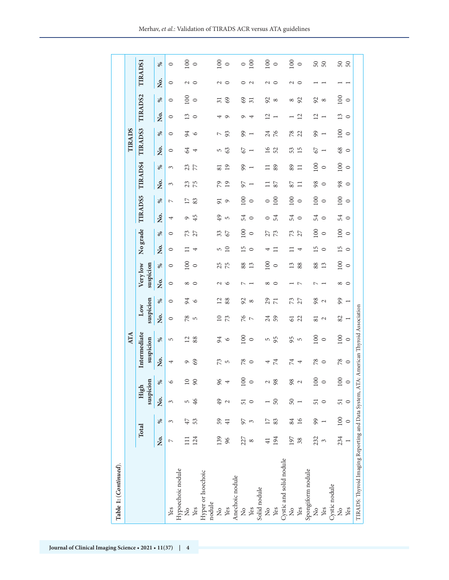| Table 1: (Continued).                                                                |                |                 |                          |              |                           |                 |                   |                |                          |                 |          |         |                            |         |                                                      |                 |                                            |                          |                 |               |                |
|--------------------------------------------------------------------------------------|----------------|-----------------|--------------------------|--------------|---------------------------|-----------------|-------------------|----------------|--------------------------|-----------------|----------|---------|----------------------------|---------|------------------------------------------------------|-----------------|--------------------------------------------|--------------------------|-----------------|---------------|----------------|
|                                                                                      |                |                 |                          |              |                           | ATA             |                   |                |                          |                 |          |         |                            |         |                                                      |                 | TIRADS                                     |                          |                 |               |                |
|                                                                                      | Total          |                 | suspicion<br>High        |              | Intermediate<br>suspicion |                 | suspicion<br>Low  |                | Very low<br>suspicion    |                 | No grade |         | <b>TIRADS5</b>             |         | TIRAD <sub>S4</sub>                                  |                 | TIRADS3                                    |                          | <b>TIRADS2</b>  |               | <b>TIRADS1</b> |
|                                                                                      | Ż.             | $\%$            | Ź.                       | %            | Σó                        | వ్              | Ż.                | వ్             | Ż.                       | వ్              | Ź.       | వ్      | ,<br>Ž                     | వ్      | ż.                                                   | వ్              | ೫<br>Ż.                                    | ,<br>Ž                   | వ్              | Ż.            | వ్             |
| Yes                                                                                  | $\overline{ }$ | 3               | 3                        |              | 4                         | 5               | $\circ$           | $\circ$        | $\circ$                  | $\circ$         | $\circ$  | $\circ$ | $\overline{ }$<br>4        |         | 3                                                    | 3               | $\circ$<br>$\circ$                         | $\circ$                  | $\circ$         | $\circ$       | $\circ$        |
| Hypoechoic nodule<br>ž                                                               |                | 47              | 5                        | $\circ$      |                           | $\overline{12}$ | 78                | 94             | ${}^{\circ}$             | 100             |          | 73      | $\overline{1}$<br>$\sigma$ |         |                                                      |                 | 94<br>$\Im$                                | $\mathbf{r}$             | $\overline{5}$  |               | 100            |
| Yes                                                                                  | 124            | 53              | 46                       | $\circ$<br>Ō | 69                        | 88              | $\overline{5}$    | $\circ$        | $\circ$                  | $\circ$         | 4        | 27      | 83<br>45                   |         | 23<br>75                                             | 23<br>77        | $\circ$<br>4                               | $\circ$                  | $\circ$         | $\sim$ 0      | $\circ$        |
| Hyper or Isoechoic<br>nodule                                                         |                |                 |                          |              |                           |                 |                   |                |                          |                 |          |         |                            |         |                                                      |                 |                                            |                          |                 |               |                |
| $\frac{1}{2}$                                                                        | 139            | 59              | 49                       | 96           | 73                        | 94              | $\overline{10}$   | $\overline{2}$ |                          | 25              | 5        | 33      | 51<br>49                   |         | $\overline{8}$<br>79                                 |                 | $\triangleright$<br>5                      | 4                        | $\overline{31}$ |               | 100            |
| Yes                                                                                  | 96             | $\overline{41}$ | $\mathbf{C}$             |              | $\overline{5}$            | $\circ$         | 73                | 88             | $\sim$ $\sim$            | 75              | $\Xi$    | 67      | 5                          | $\circ$ | 19                                                   | $\overline{19}$ | 93<br>63                                   | $\circ$                  | 69              | $\sim$ 0      | $\circ$        |
| Anechoic nodule                                                                      |                |                 |                          |              |                           |                 |                   |                |                          |                 |          |         |                            |         |                                                      |                 |                                            |                          |                 |               |                |
| $\frac{1}{2}$                                                                        | 227            | 97              | 51                       | 100          | 78                        | 100             | 76                | 92             | $\overline{ }$           | 88              | 15       | 100     | 54                         | $\Xi$   | 97                                                   | 99              | 99<br>67                                   | $\sigma$                 | 69              | $\circ$       | $\circ$        |
| Yes                                                                                  | $^{\circ}$     | 3               | $\circ$                  |              | $\circ$                   | $\circ$         | $\overline{a}$    | $\infty$       | $\overline{\phantom{0}}$ | 13              | $\circ$  | $\circ$ | $\circ$                    | $\circ$ | $\overline{\phantom{a}}$<br>$\overline{\phantom{a}}$ |                 | $\overline{\phantom{a}}$<br>$\overline{ }$ | 4                        | $\overline{31}$ | $\sim$        | 100            |
| Solid nodule                                                                         |                |                 |                          |              |                           |                 |                   |                |                          |                 |          |         |                            |         |                                                      |                 |                                            |                          |                 |               |                |
| $\frac{1}{2}$                                                                        |                | Ļ               |                          |              | 4                         | 5               | 24<br>59          | $29$ $7$       | $^{\circ}$               | 100             | 4        | 273     | $\circ$                    | $\circ$ | ⊟<br>$\Box$                                          |                 | 24<br>$\overline{16}$                      | ₫                        | 92              | $\sim$ $\sim$ | 100            |
| Yes                                                                                  | 194            | 83              | 50                       | 98           | $\overline{7}$            | 95              |                   |                | $\circ$                  | $\circ$         | ⊟        |         | 54                         | 100     | 87                                                   | 89              | $\frac{76}{ }$<br>52                       | $\overline{ }$           | $\infty$        |               | $\circ$        |
| Cystic and solid nodule                                                              |                |                 |                          |              |                           |                 |                   |                |                          |                 |          |         |                            |         |                                                      |                 |                                            |                          |                 |               |                |
| $\frac{1}{2}$                                                                        | 197            | 84              | 50                       | 98           | 74                        | 95              | $\overline{61}$   | 73             |                          | $\frac{3}{2}$   |          | 73      | 54                         | $\Xi$   | 87                                                   | 89              | 78<br>53                                   |                          | $^{\circ}$      | $\sim$        | 100            |
| Yes                                                                                  | 38             | $\overline{16}$ | $\overline{\phantom{a}}$ |              | 4                         | 5               | 22                | 27             | $\overline{ }$           | 88              | 4        | 27      | $\circ$                    | $\circ$ | 급                                                    | $\Xi$           | 22<br>15                                   | $\overline{c}$           | 92              | $\circ$       | $\circ$        |
| Spongiform nodule                                                                    |                |                 |                          |              |                           |                 |                   |                |                          |                 |          |         |                            |         |                                                      |                 |                                            |                          |                 |               |                |
| ž                                                                                    | 232            | 99              | 51                       | 100          | 78                        | 100             | $\overline{8}$    | 98             | ↖                        | 88              | 51       | 100     | 54                         | 100     | 98                                                   | 100             | 99<br>67                                   | $\overline{12}$          | 92              |               | 50             |
| Yes                                                                                  |                |                 | $\circ$                  |              | $\circ$                   | $\circ$         | $\mathbf{\Omega}$ | $\mathbf{C}$   |                          | 13              | $\circ$  | $\circ$ | $\circ$                    | $\circ$ | $\circ$                                              | $\circ$         | $\overline{\phantom{0}}$<br>$\overline{ }$ | $\overline{\phantom{0}}$ | ${}^{\circ}$    |               | $50\,$         |
| Cystic nodule                                                                        |                |                 |                          |              |                           |                 |                   |                |                          |                 |          |         |                            |         |                                                      |                 |                                            |                          |                 |               |                |
| ž                                                                                    | 234            | 100             | 51                       | 100          | 78                        | 100             | 82                | 99             | $^{\circ}$               | $\overline{00}$ | L5       | 100     | 54                         | 100     | 98                                                   | 100             | 100<br>8 <sup>o</sup>                      | $\frac{3}{2}$            | $\frac{8}{100}$ |               | 50             |
| Yes                                                                                  |                | $\circ$         | $\circ$                  |              | $\circ$                   | $\circ$         | $\overline{ }$    | $\overline{ }$ | $\circ$                  | $\circ$         | $\circ$  | $\circ$ | $\circ$                    | $\circ$ | $\circ$                                              | $\circ$         | $\circ$<br>$\circ$                         | $\circ$                  | $\circ$         | −             | 50             |
| TIRADS: Thyroid Imaging Reporting and Data System, ATA: American Thyroid Association |                |                 |                          |              |                           |                 |                   |                |                          |                 |          |         |                            |         |                                                      |                 |                                            |                          |                 |               |                |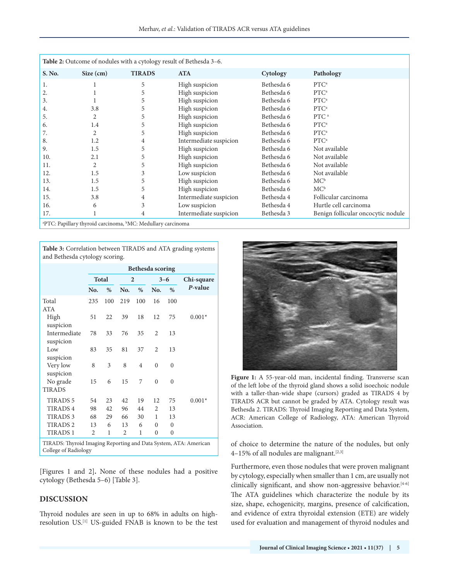| Table 2: Outcome of nodules with a cytology result of Bethesda 3–6. |           |               |                        |            |                                    |  |  |  |  |
|---------------------------------------------------------------------|-----------|---------------|------------------------|------------|------------------------------------|--|--|--|--|
| S. No.                                                              | Size (cm) | <b>TIRADS</b> | <b>ATA</b>             | Cytology   | Pathology                          |  |  |  |  |
| 1.                                                                  |           | 5             | High suspicion         | Bethesda 6 | PTC <sup>a</sup>                   |  |  |  |  |
| 2.                                                                  |           | 5             | High suspicion         | Bethesda 6 | PTC <sup>a</sup>                   |  |  |  |  |
| 3.                                                                  |           | 5             | High suspicion         | Bethesda 6 | PTC <sup>a</sup>                   |  |  |  |  |
| 4.                                                                  | 3.8       | 5             | High suspicion         | Bethesda 6 | PTC <sup>a</sup>                   |  |  |  |  |
| 5.                                                                  | 2         | 5             | High suspicion         | Bethesda 6 | PTC <sup>a</sup>                   |  |  |  |  |
| 6.                                                                  | 1.4       | 5             | High suspicion         | Bethesda 6 | PTC <sup>a</sup>                   |  |  |  |  |
| 7.                                                                  | 2         | 5             | High suspicion         | Bethesda 6 | PTC <sup>a</sup>                   |  |  |  |  |
| 8.                                                                  | 1.2       | 4             | Intermediate suspicion | Bethesda 6 | PTC <sup>a</sup>                   |  |  |  |  |
| 9.                                                                  | 1.5       | 5             | High suspicion         | Bethesda 6 | Not available                      |  |  |  |  |
| 10.                                                                 | 2.1       | 5             | High suspicion         | Bethesda 6 | Not available                      |  |  |  |  |
| 11.                                                                 | 2         | 5.            | High suspicion         | Bethesda 6 | Not available                      |  |  |  |  |
| 12.                                                                 | 1.5       | 3             | Low suspicion          | Bethesda 6 | Not available                      |  |  |  |  |
| 13.                                                                 | 1.5       | 5             | High suspicion         | Bethesda 6 | $MC^b$                             |  |  |  |  |
| 14.                                                                 | 1.5       | 5             | High suspicion         | Bethesda 6 | $MC^b$                             |  |  |  |  |
| 15.                                                                 | 3.8       | 4             | Intermediate suspicion | Bethesda 4 | Follicular carcinoma               |  |  |  |  |
| 16.                                                                 | 6         | 3             | Low suspicion          | Bethesda 4 | Hurtle cell carcinoma              |  |  |  |  |
| 17.                                                                 |           |               | Intermediate suspicion | Bethesda 3 | Benign follicular oncocytic nodule |  |  |  |  |
| $\sim 10^{-11}$ d $\sim 1$ has $\sim 1$ H $\sim$                    |           |               |                        |            |                                    |  |  |  |  |

<sup>a</sup>PTC: Papillary thyroid carcinoma, <sup>b</sup>MC: Medullary carcinoma

**Table 3:** Correlation between TIRADS and ATA grading systems and Bethesda cytology scoring.

|                                                                  |                |              |                |                | Bethesda scoring |              |            |
|------------------------------------------------------------------|----------------|--------------|----------------|----------------|------------------|--------------|------------|
|                                                                  |                | <b>Total</b> |                | $\overline{2}$ |                  | $3 - 6$      | Chi-square |
|                                                                  | No.            | %            | No.            | %              | No.              | $\%$         | P-value    |
| Total<br>ATA                                                     | 235            | 100          | 219            | 100            | 16               | 100          |            |
| High<br>suspicion                                                | 51             | 22           | 39             | 18             | 12               | 75           | $0.001*$   |
| Intermediate<br>suspicion                                        | 78             | 33           | 76             | 35             | 2                | 13           |            |
| Low<br>suspicion                                                 | 83             | 35           | 81             | 37             | 2                | 13           |            |
| Very low<br>suspicion                                            | 8              | 3            | 8              | 4              | $\mathbf{0}$     | $\theta$     |            |
| No grade<br><b>TIRADS</b>                                        | 15             | 6            | 15             | 7              | $\theta$         | $\theta$     |            |
| <b>TIRADS 5</b>                                                  | 54             | 23           | 42             | 19             | 12               | 75           | $0.001*$   |
| <b>TIRADS4</b>                                                   | 98             | 42           | 96             | 44             | 2                | 13           |            |
| <b>TIRADS 3</b>                                                  | 68             | 29           | 66             | 30             | 1                | 13           |            |
| <b>TIRADS 2</b>                                                  | 13             | 6            | 13             | 6              | $\theta$         | $\theta$     |            |
| <b>TIRADS1</b>                                                   | $\overline{c}$ | 1            | $\overline{2}$ | 1              | $\theta$         | $\mathbf{0}$ |            |
| TIR ADS. Thyroid Imaging Reporting and Data System ATA: American |                |              |                |                |                  |              |            |

TIRADS: Thyroid Imaging Reporting and Data System, ATA: American College of Radiology

[Figures 1 and 2]**.** None of these nodules had a positive cytology (Bethesda 5–6) [Table 3].

#### **DISCUSSION**

Thyroid nodules are seen in up to 68% in adults on highresolution US.[1] US-guided FNAB is known to be the test



Figure 1: A 55-year-old man, incidental finding. Transverse scan of the left lobe of the thyroid gland shows a solid isoechoic nodule with a taller-than-wide shape (cursors) graded as TIRADS 4 by TIRADS ACR but cannot be graded by ATA. Cytology result was Bethesda 2. TIRADS: Thyroid Imaging Reporting and Data System, ACR: American College of Radiology, ATA: American Thyroid Association.

of choice to determine the nature of the nodules, but only  $4-15%$  of all nodules are malignant.<sup>[2,3]</sup>

Furthermore, even those nodules that were proven malignant by cytology, especially when smaller than 1 cm, are usually not clinically significant, and show non-aggressive behavior.<sup>[4-6]</sup> The ATA guidelines which characterize the nodule by its size, shape, echogenicity, margins, presence of calcification, and evidence of extra thyroidal extension (ETE) are widely used for evaluation and management of thyroid nodules and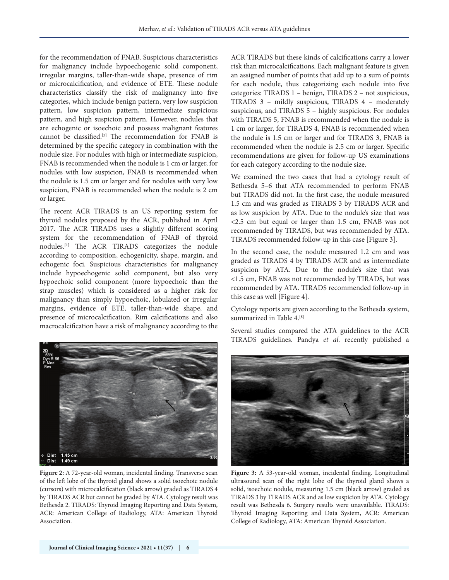for the recommendation of FNAB. Suspicious characteristics for malignancy include hypoechogenic solid component, irregular margins, taller-than-wide shape, presence of rim or microcalcification, and evidence of ETE. These nodule characteristics classify the risk of malignancy into five categories, which include benign pattern, very low suspicion pattern, low suspicion pattern, intermediate suspicious pattern, and high suspicion pattern. However, nodules that are echogenic or isoechoic and possess malignant features cannot be classified.[3] The recommendation for FNAB is determined by the specific category in combination with the nodule size. For nodules with high or intermediate suspicion, FNAB is recommended when the nodule is 1 cm or larger, for nodules with low suspicion, FNAB is recommended when the nodule is 1.5 cm or larger and for nodules with very low suspicion, FNAB is recommended when the nodule is 2 cm or larger.

The recent ACR TIRADS is an US reporting system for thyroid nodules proposed by the ACR, published in April 2017. The ACR TIRADS uses a slightly different scoring system for the recommendation of FNAB of thyroid nodules.[1] The ACR TIRADS categorizes the nodule according to composition, echogenicity, shape, margin, and echogenic foci. Suspicious characteristics for malignancy include hypoechogenic solid component, but also very hypoechoic solid component (more hypoechoic than the strap muscles) which is considered as a higher risk for malignancy than simply hypoechoic, lobulated or irregular margins, evidence of ETE, taller-than-wide shape, and presence of microcalcification. Rim calcifications and also macrocalcification have a risk of malignancy according to the

ACR TIRADS but these kinds of calcifications carry a lower risk than microcalcifications. Each malignant feature is given an assigned number of points that add up to a sum of points for each nodule, thus categorizing each nodule into five categories: TIRADS 1 – benign, TIRADS 2 – not suspicious, TIRADS 3 – mildly suspicious, TIRADS 4 – moderately suspicious, and TIRADS 5 – highly suspicious. For nodules with TIRADS 5, FNAB is recommended when the nodule is 1 cm or larger, for TIRADS 4, FNAB is recommended when the nodule is 1.5 cm or larger and for TIRADS 3, FNAB is recommended when the nodule is 2.5 cm or larger. Specific recommendations are given for follow-up US examinations for each category according to the nodule size.

We examined the two cases that had a cytology result of Bethesda 5–6 that ATA recommended to perform FNAB but TIRADS did not. In the first case, the nodule measured 1.5 cm and was graded as TIRADS 3 by TIRADS ACR and as low suspicion by ATA. Due to the nodule's size that was <2.5 cm but equal or larger than 1.5 cm, FNAB was not recommended by TIRADS, but was recommended by ATA. TIRADS recommended follow-up in this case [Figure 3].

In the second case, the nodule measured 1.2 cm and was graded as TIRADS 4 by TIRADS ACR and as intermediate suspicion by ATA. Due to the nodule's size that was <1.5 cm, FNAB was not recommended by TIRADS, but was recommended by ATA. TIRADS recommended follow-up in this case as well [Figure 4].

Cytology reports are given according to the Bethesda system, summarized in Table 4. [8]

Several studies compared the ATA guidelines to the ACR TIRADS guidelines. Pandya *et al*. recently published a



**Figure 2:** A 72-year-old woman, incidental finding. Transverse scan of the left lobe of the thyroid gland shows a solid isoechoic nodule (cursors) with microcalcification (black arrow) graded as TIRADS 4 by TIRADS ACR but cannot be graded by ATA. Cytology result was Bethesda 2. TIRADS: Thyroid Imaging Reporting and Data System, ACR: American College of Radiology, ATA: American Thyroid Association.



**Figure 3:** A 53-year-old woman, incidental finding. Longitudinal ultrasound scan of the right lobe of the thyroid gland shows a solid, isoechoic nodule, measuring 1.5 cm (black arrow) graded as TIRADS 3 by TIRADS ACR and as low suspicion by ATA. Cytology result was Bethesda 6. Surgery results were unavailable. TIRADS: Thyroid Imaging Reporting and Data System, ACR: American College of Radiology, ATA: American Thyroid Association.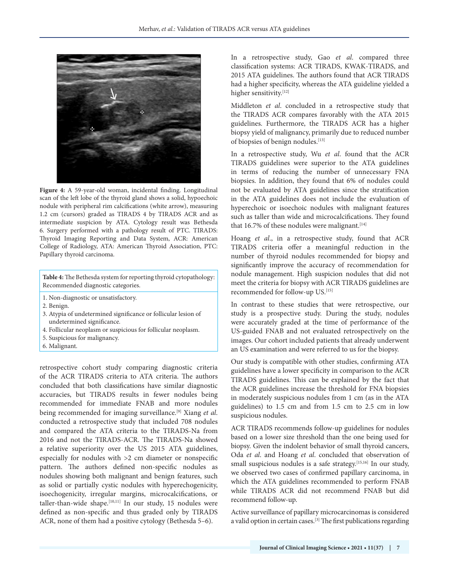

**Figure 4:** A 59-year-old woman, incidental finding. Longitudinal scan of the left lobe of the thyroid gland shows a solid, hypoechoic nodule with peripheral rim calcifications (white arrow), measuring 1.2 cm (cursors) graded as TIRADS 4 by TIRADS ACR and as intermediate suspicion by ATA. Cytology result was Bethesda 6. Surgery performed with a pathology result of PTC. TIRADS: Thyroid Imaging Reporting and Data System, ACR: American College of Radiology, ATA: American Thyroid Association, PTC: Papillary thyroid carcinoma.

**Table 4:**The Bethesda system for reporting thyroid cytopathology: Recommended diagnostic categories.

- 1. Non-diagnostic or unsatisfactory.
- 2. Benign.
- 3. Atypia of undetermined significance or follicular lesion of undetermined significance.
- 4. Follicular neoplasm or suspicious for follicular neoplasm.
- 5. Suspicious for malignancy.
- 6. Malignant.

retrospective cohort study comparing diagnostic criteria of the ACR TIRADS criteria to ATA criteria. The authors concluded that both classifications have similar diagnostic accuracies, but TIRADS results in fewer nodules being recommended for immediate FNAB and more nodules being recommended for imaging surveillance.[9] Xiang *et al*. conducted a retrospective study that included 708 nodules and compared the ATA criteria to the TIRADS-Na from 2016 and not the TIRADS-ACR. The TIRADS-Na showed a relative superiority over the US 2015 ATA guidelines, especially for nodules with >2 cm diameter or nonspecific pattern. The authors defined non-specific nodules as nodules showing both malignant and benign features, such as solid or partially cystic nodules with hyperechogenicity, isoechogenicity, irregular margins, microcalcifications, or taller-than-wide shape.<sup>[10,11]</sup> In our study, 15 nodules were defined as non-specific and thus graded only by TIRADS ACR, none of them had a positive cytology (Bethesda 5–6).

In a retrospective study, Gao *et al*. compared three classification systems: ACR TIRADS, KWAK-TIRADS, and 2015 ATA guidelines. The authors found that ACR TIRADS had a higher specificity, whereas the ATA guideline yielded a higher sensitivity.[12]

Middleton *et al*. concluded in a retrospective study that the TIRADS ACR compares favorably with the ATA 2015 guidelines. Furthermore, the TIRADS ACR has a higher biopsy yield of malignancy, primarily due to reduced number of biopsies of benign nodules.[13]

In a retrospective study, Wu *et al*. found that the ACR TIRADS guidelines were superior to the ATA guidelines in terms of reducing the number of unnecessary FNA biopsies. In addition, they found that 6% of nodules could not be evaluated by ATA guidelines since the stratification in the ATA guidelines does not include the evaluation of hyperechoic or isoechoic nodules with malignant features such as taller than wide and microcalcifications. They found that 16.7% of these nodules were malignant.<sup>[14]</sup>

Hoang *et al*., in a retrospective study, found that ACR TIRADS criteria offer a meaningful reduction in the number of thyroid nodules recommended for biopsy and significantly improve the accuracy of recommendation for nodule management. High suspicion nodules that did not meet the criteria for biopsy with ACR TIRADS guidelines are recommended for follow-up US.<sup>[15]</sup>

In contrast to these studies that were retrospective, our study is a prospective study. During the study, nodules were accurately graded at the time of performance of the US-guided FNAB and not evaluated retrospectively on the images. Our cohort included patients that already underwent an US examination and were referred to us for the biopsy.

Our study is compatible with other studies, confirming ATA guidelines have a lower specificity in comparison to the ACR TIRADS guidelines. This can be explained by the fact that the ACR guidelines increase the threshold for FNA biopsies in moderately suspicious nodules from 1 cm (as in the ATA guidelines) to 1.5 cm and from 1.5 cm to 2.5 cm in low suspicious nodules.

ACR TIRADS recommends follow-up guidelines for nodules based on a lower size threshold than the one being used for biopsy. Given the indolent behavior of small thyroid cancers, Oda *et al*. and Hoang *et al*. concluded that observation of small suspicious nodules is a safe strategy.<sup>[15,16]</sup> In our study, we observed two cases of confirmed papillary carcinoma, in which the ATA guidelines recommended to perform FNAB while TIRADS ACR did not recommend FNAB but did recommend follow-up.

Active surveillance of papillary microcarcinomas is considered a valid option in certain cases.<sup>[3]</sup> The first publications regarding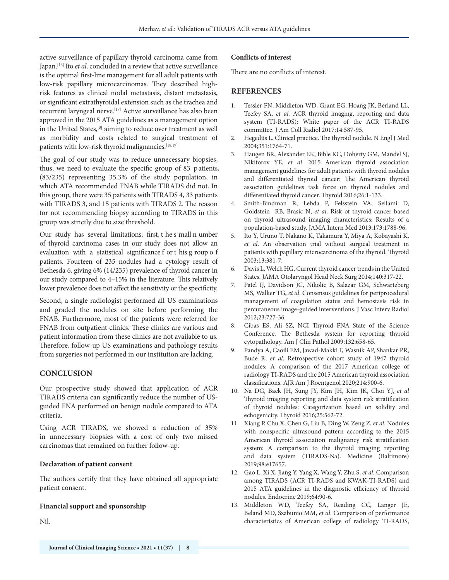active surveillance of papillary thyroid carcinoma came from Japan.[16] Ito *et al*. concluded in a review that active surveillance is the optimal first-line management for all adult patients with low-risk papillary microcarcinomas. They described highrisk features as clinical nodal metastasis, distant metastasis, or significant extrathyroidal extension such as the trachea and recurrent laryngeal nerve.[17] Active surveillance has also been approved in the 2015 ATA guidelines as a management option in the United States,<sup>[3]</sup> aiming to reduce over treatment as well as morbidity and costs related to surgical treatment of patients with low-risk thyroid malignancies.<sup>[18,19]</sup>

The goal of our study was to reduce unnecessary biopsies, thus, we need to evaluate the specific group of 83 p atients, (83/235) representing 35.3% of the study population, in which ATA recommended FNAB while TIRADS did not. In this group, there were 35 patients with TIRADS 4, 33 patients with TIRADS 3, and 15 patients with TIRADS 2. The reason for not recommending biopsy according to TIRADS in this group was strictly due to size threshold.

Our study has several limitations; first, t he s mall n umber of thyroid carcinoma cases in our study does not allow an evaluation with a statistical significance f or t his g roup o f patients. Fourteen of 235 nodules had a cytology result of Bethesda 6, giving 6% (14/235) prevalence of thyroid cancer in our study compared to 4-15% in the literature. This relatively lower prevalence does not affect the sensitivity or the specificity.

Second, a single radiologist performed all US examinations and graded the nodules on site before performing the FNAB. Furthermore, most of the patients were referred for FNAB from outpatient clinics. These clinics are various and patient information from these clinics are not available to us. Therefore, follow-up US examinations and pathology results from surgeries not performed in our institution are lacking.

#### **CONCLUSION**

Our prospective study showed that application of ACR TIRADS criteria can significantly reduce the number of USguided FNA performed on benign nodule compared to ATA criteria.

Using ACR TIRADS, we showed a reduction of 35% in unnecessary biopsies with a cost of only two missed carcinomas that remained on further follow-up.

#### **Declaration of patient consent**

The authors certify that they have obtained all appropriate patient consent.

#### **Financial support and sponsorship**

Nil.

#### **Conflicts of interest**

There are no conflicts of interest.

### **REFERENCES**

- 1. Tessler FN, Middleton WD, Grant EG, Hoang JK, Berland LL, Teefey SA, *et al*. ACR thyroid imaging, reporting and data system (TI-RADS): White paper of the ACR TI-RADS committee. J Am Coll Radiol 2017;14:587-95.
- 2. Hegedüs L. Clinical practice. The thyroid nodule. N Engl J Med 2004;351:1764-71.
- 3. Haugen BR, Alexander EK, Bible KC, Doherty GM, Mandel SJ, Nikiforov YE, *et al*. 2015 American thyroid association management guidelines for adult patients with thyroid nodules and differentiated thyroid cancer: The American thyroid association guidelines task force on thyroid nodules and differentiated thyroid cancer. Thyroid 2016;26:1-133.
- 4. Smith-Bindman R, Lebda P, Felsstein VA, Sellami D, Goldstein RB, Brasic N, *et al*. Risk of thyroid cancer based on thyroid ultrasound imaging characteristics: Results of a population-based study. JAMA Intern Med 2013;173:1788-96.
- 5. Ito Y, Uruno T, Nakano K, Takamura Y, Miya A, Kobayashi K, *et al*. An observation trial without surgical treatment in patients with papillary microcarcinoma of the thyroid. Thyroid 2003;13:381-7.
- 6. Davis L, Welch HG. Current thyroid cancer trends in the United States. JAMA Otolaryngol Head Neck Surg 2014;140:317-22.
- 7. Patel IJ, Davidson JC, Nikolic B, Salazar GM, Schwartzberg MS, Walker TG, *et al*. Consensus guidelines for periprocedural management of coagulation status and hemostasis risk in percutaneous image-guided interventions. J Vasc Interv Radiol 2012;23:727-36.
- 8. Cibas ES, Ali SZ, NCI Thyroid FNA State of the Science Conference. The Bethesda system for reporting thyroid cytopathology. Am J Clin Pathol 2009;132:658-65.
- 9. Pandya A, Caoili EM, Jawad-Makki F, Wasnik AP, Shankar PR, Bude R, *et al*. Retrospective cohort study of 1947 thyroid nodules: A comparison of the 2017 American college of radiology TI-RADS and the 2015 American thyroid association classifications. AJR Am J Roentgenol 2020;214:900-6.
- 10. Na DG, Baek JH, Sung JY, Kim JH, Kim JK, Choi YJ, *et al* Thyroid imaging reporting and data system risk stratification of thyroid nodules: Categorization based on solidity and echogenicity. Thyroid 2016;25:562-72.
- 11. Xiang P, Chu X, Chen G, Liu B, Ding W, Zeng Z, *et al*. Nodules with nonspecific ultrasound pattern according to the 2015 American thyroid association malignancy risk stratification system: A comparison to the thyroid imaging reporting and data system (TIRADS-Na). Medicine (Baltimore) 2019;98:e17657.
- 12. Gao L, Xi X, Jiang Y, Yang X, Wang Y, Zhu S, *et al*. Comparison among TIRADS (ACR TI-RADS and KWAK-TI-RADS) and 2015 ATA guidelines in the diagnostic efficiency of thyroid nodules. Endocrine 2019;64:90-6.
- 13. Middleton WD, Teefey SA, Reading CC, Langer JE, Beland MD, Szabunio MM, *et al*. Comparison of performance characteristics of American college of radiology TI-RADS,